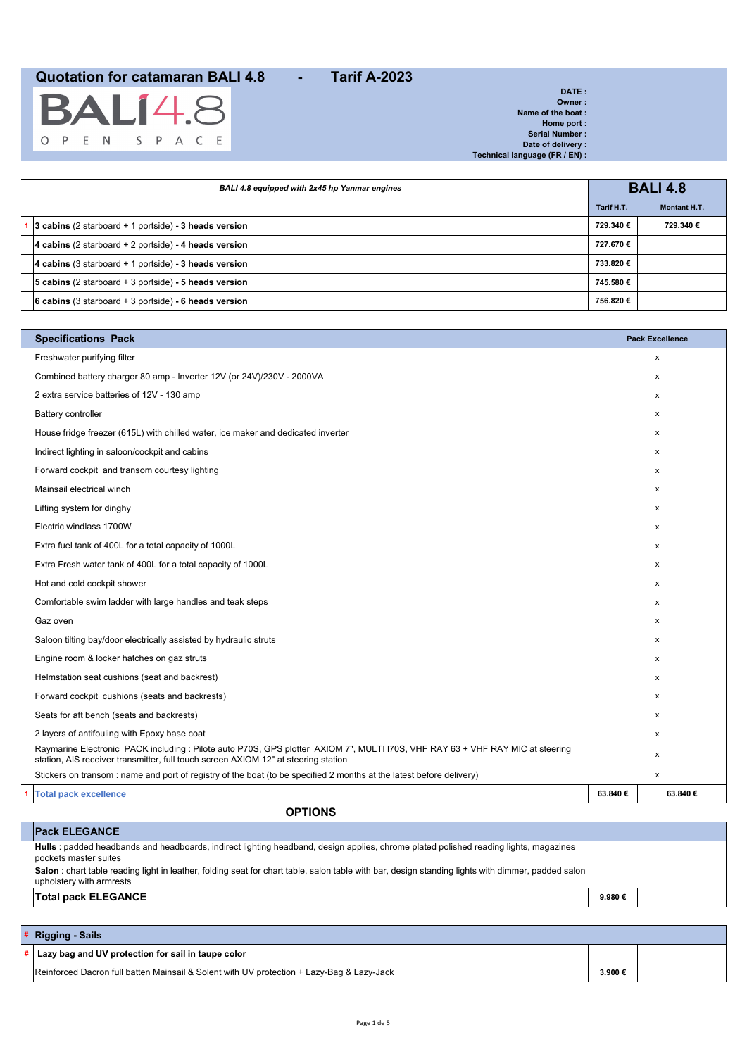|  |  | <b>BALÍ4.8</b>    |  |  |
|--|--|-------------------|--|--|
|  |  | O P E N S P A C E |  |  |

| DATE:                          |
|--------------------------------|
| Owner:                         |
| Name of the boat:              |
| Home port:                     |
| Serial Number:                 |
| Date of delivery:              |
| Technical language (FR / EN) : |
|                                |

| BALI 4.8 equipped with 2x45 hp Yanmar engines                  |            | <b>BALI 4.8</b>     |  |
|----------------------------------------------------------------|------------|---------------------|--|
|                                                                | Tarif H.T. | <b>Montant H.T.</b> |  |
| 3 cabins (2 starboard $+$ 1 portside) - 3 heads version        | 729.340€   | 729.340 €           |  |
| 4 cabins (2 starboard $+$ 2 portside) - 4 heads version        | 727.670€   |                     |  |
| 4 cabins (3 starboard $+$ 1 portside) - 3 heads version        | 733.820€   |                     |  |
| <b>5 cabins</b> (2 starboard $+$ 3 portside) - 5 heads version | 745.580€   |                     |  |
| 6 cabins (3 starboard $+$ 3 portside) - 6 heads version        | 756.820 €  |                     |  |

| Freshwater purifying filter<br>$\pmb{\mathsf{x}}$<br>Combined battery charger 80 amp - Inverter 12V (or 24V)/230V - 2000VA<br>X<br>2 extra service batteries of 12V - 130 amp<br>X<br><b>Battery controller</b><br>$\mathsf{x}$<br>House fridge freezer (615L) with chilled water, ice maker and dedicated inverter<br>X<br>Indirect lighting in saloon/cockpit and cabins<br>x<br>Forward cockpit and transom courtesy lighting<br>$\mathsf{x}$<br>Mainsail electrical winch<br>x<br>Lifting system for dinghy<br>x<br>Electric windlass 1700W<br>X<br>Extra fuel tank of 400L for a total capacity of 1000L<br>X<br>Extra Fresh water tank of 400L for a total capacity of 1000L<br>x<br>Hot and cold cockpit shower<br>$\mathsf{x}$<br>Comfortable swim ladder with large handles and teak steps<br>X<br>Gaz oven<br>X<br>Saloon tilting bay/door electrically assisted by hydraulic struts<br>X<br>Engine room & locker hatches on gaz struts<br>X<br>Helmstation seat cushions (seat and backrest)<br>X<br>Forward cockpit cushions (seats and backrests)<br>X<br>Seats for aft bench (seats and backrests)<br>х<br>2 layers of antifouling with Epoxy base coat<br>x<br>Raymarine Electronic PACK including : Pilote auto P70S, GPS plotter AXIOM 7", MULTI I70S, VHF RAY 63 + VHF RAY MIC at steering<br>х<br>station, AIS receiver transmitter, full touch screen AXIOM 12" at steering station<br>Stickers on transom : name and port of registry of the boat (to be specified 2 months at the latest before delivery)<br>$\pmb{\mathsf{x}}$<br>63.840€<br><b>Total pack excellence</b><br>63.840€ | <b>Specifications Pack</b> | <b>Pack Excellence</b> |
|-------------------------------------------------------------------------------------------------------------------------------------------------------------------------------------------------------------------------------------------------------------------------------------------------------------------------------------------------------------------------------------------------------------------------------------------------------------------------------------------------------------------------------------------------------------------------------------------------------------------------------------------------------------------------------------------------------------------------------------------------------------------------------------------------------------------------------------------------------------------------------------------------------------------------------------------------------------------------------------------------------------------------------------------------------------------------------------------------------------------------------------------------------------------------------------------------------------------------------------------------------------------------------------------------------------------------------------------------------------------------------------------------------------------------------------------------------------------------------------------------------------------------------------------------------------------------------------------------------------|----------------------------|------------------------|
|                                                                                                                                                                                                                                                                                                                                                                                                                                                                                                                                                                                                                                                                                                                                                                                                                                                                                                                                                                                                                                                                                                                                                                                                                                                                                                                                                                                                                                                                                                                                                                                                             |                            |                        |
|                                                                                                                                                                                                                                                                                                                                                                                                                                                                                                                                                                                                                                                                                                                                                                                                                                                                                                                                                                                                                                                                                                                                                                                                                                                                                                                                                                                                                                                                                                                                                                                                             |                            |                        |
|                                                                                                                                                                                                                                                                                                                                                                                                                                                                                                                                                                                                                                                                                                                                                                                                                                                                                                                                                                                                                                                                                                                                                                                                                                                                                                                                                                                                                                                                                                                                                                                                             |                            |                        |
|                                                                                                                                                                                                                                                                                                                                                                                                                                                                                                                                                                                                                                                                                                                                                                                                                                                                                                                                                                                                                                                                                                                                                                                                                                                                                                                                                                                                                                                                                                                                                                                                             |                            |                        |
|                                                                                                                                                                                                                                                                                                                                                                                                                                                                                                                                                                                                                                                                                                                                                                                                                                                                                                                                                                                                                                                                                                                                                                                                                                                                                                                                                                                                                                                                                                                                                                                                             |                            |                        |
|                                                                                                                                                                                                                                                                                                                                                                                                                                                                                                                                                                                                                                                                                                                                                                                                                                                                                                                                                                                                                                                                                                                                                                                                                                                                                                                                                                                                                                                                                                                                                                                                             |                            |                        |
|                                                                                                                                                                                                                                                                                                                                                                                                                                                                                                                                                                                                                                                                                                                                                                                                                                                                                                                                                                                                                                                                                                                                                                                                                                                                                                                                                                                                                                                                                                                                                                                                             |                            |                        |
|                                                                                                                                                                                                                                                                                                                                                                                                                                                                                                                                                                                                                                                                                                                                                                                                                                                                                                                                                                                                                                                                                                                                                                                                                                                                                                                                                                                                                                                                                                                                                                                                             |                            |                        |
|                                                                                                                                                                                                                                                                                                                                                                                                                                                                                                                                                                                                                                                                                                                                                                                                                                                                                                                                                                                                                                                                                                                                                                                                                                                                                                                                                                                                                                                                                                                                                                                                             |                            |                        |
|                                                                                                                                                                                                                                                                                                                                                                                                                                                                                                                                                                                                                                                                                                                                                                                                                                                                                                                                                                                                                                                                                                                                                                                                                                                                                                                                                                                                                                                                                                                                                                                                             |                            |                        |
|                                                                                                                                                                                                                                                                                                                                                                                                                                                                                                                                                                                                                                                                                                                                                                                                                                                                                                                                                                                                                                                                                                                                                                                                                                                                                                                                                                                                                                                                                                                                                                                                             |                            |                        |
|                                                                                                                                                                                                                                                                                                                                                                                                                                                                                                                                                                                                                                                                                                                                                                                                                                                                                                                                                                                                                                                                                                                                                                                                                                                                                                                                                                                                                                                                                                                                                                                                             |                            |                        |
|                                                                                                                                                                                                                                                                                                                                                                                                                                                                                                                                                                                                                                                                                                                                                                                                                                                                                                                                                                                                                                                                                                                                                                                                                                                                                                                                                                                                                                                                                                                                                                                                             |                            |                        |
|                                                                                                                                                                                                                                                                                                                                                                                                                                                                                                                                                                                                                                                                                                                                                                                                                                                                                                                                                                                                                                                                                                                                                                                                                                                                                                                                                                                                                                                                                                                                                                                                             |                            |                        |
|                                                                                                                                                                                                                                                                                                                                                                                                                                                                                                                                                                                                                                                                                                                                                                                                                                                                                                                                                                                                                                                                                                                                                                                                                                                                                                                                                                                                                                                                                                                                                                                                             |                            |                        |
|                                                                                                                                                                                                                                                                                                                                                                                                                                                                                                                                                                                                                                                                                                                                                                                                                                                                                                                                                                                                                                                                                                                                                                                                                                                                                                                                                                                                                                                                                                                                                                                                             |                            |                        |
|                                                                                                                                                                                                                                                                                                                                                                                                                                                                                                                                                                                                                                                                                                                                                                                                                                                                                                                                                                                                                                                                                                                                                                                                                                                                                                                                                                                                                                                                                                                                                                                                             |                            |                        |
|                                                                                                                                                                                                                                                                                                                                                                                                                                                                                                                                                                                                                                                                                                                                                                                                                                                                                                                                                                                                                                                                                                                                                                                                                                                                                                                                                                                                                                                                                                                                                                                                             |                            |                        |
|                                                                                                                                                                                                                                                                                                                                                                                                                                                                                                                                                                                                                                                                                                                                                                                                                                                                                                                                                                                                                                                                                                                                                                                                                                                                                                                                                                                                                                                                                                                                                                                                             |                            |                        |
|                                                                                                                                                                                                                                                                                                                                                                                                                                                                                                                                                                                                                                                                                                                                                                                                                                                                                                                                                                                                                                                                                                                                                                                                                                                                                                                                                                                                                                                                                                                                                                                                             |                            |                        |
|                                                                                                                                                                                                                                                                                                                                                                                                                                                                                                                                                                                                                                                                                                                                                                                                                                                                                                                                                                                                                                                                                                                                                                                                                                                                                                                                                                                                                                                                                                                                                                                                             |                            |                        |
|                                                                                                                                                                                                                                                                                                                                                                                                                                                                                                                                                                                                                                                                                                                                                                                                                                                                                                                                                                                                                                                                                                                                                                                                                                                                                                                                                                                                                                                                                                                                                                                                             |                            |                        |
|                                                                                                                                                                                                                                                                                                                                                                                                                                                                                                                                                                                                                                                                                                                                                                                                                                                                                                                                                                                                                                                                                                                                                                                                                                                                                                                                                                                                                                                                                                                                                                                                             |                            |                        |
|                                                                                                                                                                                                                                                                                                                                                                                                                                                                                                                                                                                                                                                                                                                                                                                                                                                                                                                                                                                                                                                                                                                                                                                                                                                                                                                                                                                                                                                                                                                                                                                                             |                            |                        |

### **Pack ELEGANCE**

**OPTIONS**

**Hulls** : padded headbands and headboards, indirect lighting headband, design applies, chrome plated polished reading lights, magazines pockets master suites **Salon** : chart table reading light in leather, folding seat for chart table, salon table with bar, design standing lights with dimmer, padded salon upholstery with armrests **Total pack ELEGANCE 9.980 €**

#### **# Rigging - Sails**

**Lazy bag and UV protection for sail in taupe color** 

Reinforced Dacron full batten Mainsail & Solent with UV protection + Lazy-Bag & Lazy-Jack **3.900 €**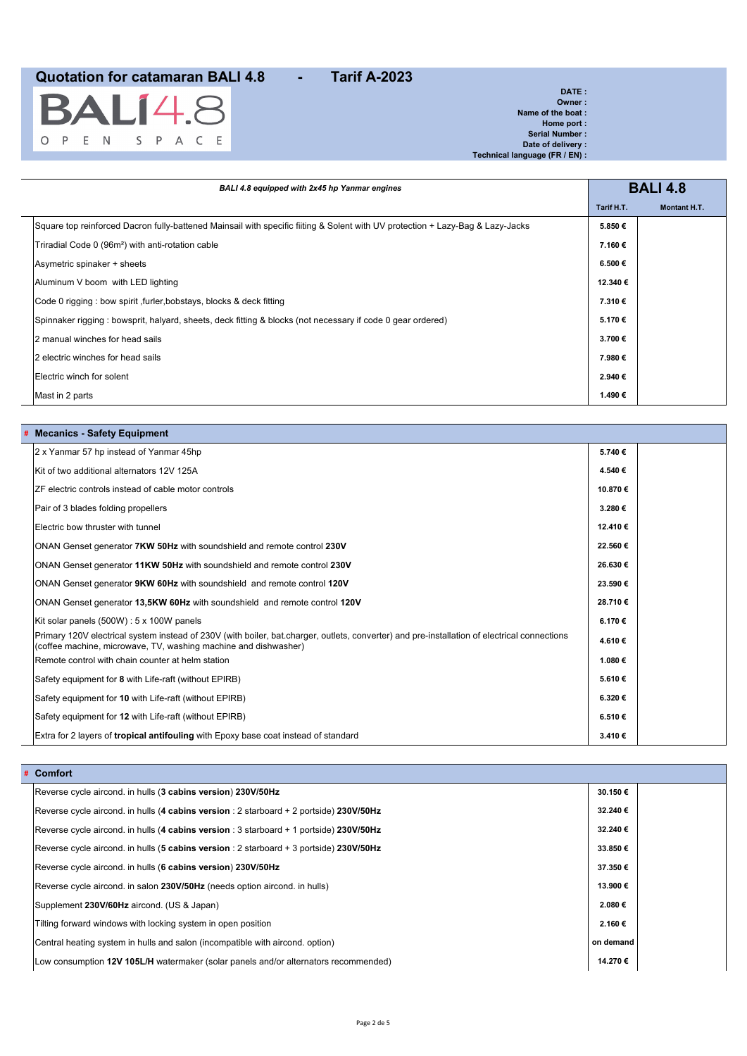

**DATE : Owner : Name of the boat : Home port : Serial Number : Date of delivery : Technical language (FR / EN) :**

| BALI 4.8 equipped with 2x45 hp Yanmar engines                                                                                  |            | <b>BALI 4.8</b>     |
|--------------------------------------------------------------------------------------------------------------------------------|------------|---------------------|
|                                                                                                                                | Tarif H.T. | <b>Montant H.T.</b> |
| Square top reinforced Dacron fully-battened Mainsail with specific fiiting & Solent with UV protection + Lazy-Baq & Lazy-Jacks | 5.850€     |                     |
| Triradial Code 0 (96m <sup>2</sup> ) with anti-rotation cable                                                                  | 7.160€     |                     |
| Asymetric spinaker + sheets                                                                                                    | 6.500€     |                     |
| Aluminum V boom with LED lighting                                                                                              | 12.340 €   |                     |
| Code 0 rigging : bow spirit, furler, bobstays, blocks & deck fitting                                                           | 7.310€     |                     |
| Spinnaker rigging : bowsprit, halyard, sheets, deck fitting & blocks (not necessary if code 0 gear ordered)                    | 5.170€     |                     |
| 2 manual winches for head sails                                                                                                | 3.700€     |                     |
| 2 electric winches for head sails                                                                                              | 7.980€     |                     |
| Electric winch for solent                                                                                                      | 2.940€     |                     |
| Mast in 2 parts                                                                                                                | 1.490 €    |                     |

|  |  | # Mecanics - Safety Equipment |  |
|--|--|-------------------------------|--|
|--|--|-------------------------------|--|

| 2 x Yanmar 57 hp instead of Yanmar 45hp                                                                                                                                                                         | 5.740€  |  |
|-----------------------------------------------------------------------------------------------------------------------------------------------------------------------------------------------------------------|---------|--|
| Kit of two additional alternators 12V 125A                                                                                                                                                                      | 4.540 € |  |
| ZF electric controls instead of cable motor controls                                                                                                                                                            | 10.870€ |  |
| Pair of 3 blades folding propellers                                                                                                                                                                             | 3.280€  |  |
| Electric bow thruster with tunnel                                                                                                                                                                               | 12.410€ |  |
| ONAN Genset generator 7KW 50Hz with soundshield and remote control 230V                                                                                                                                         | 22.560€ |  |
| ONAN Genset generator 11KW 50Hz with soundshield and remote control 230V                                                                                                                                        | 26.630€ |  |
| ONAN Genset generator 9KW 60Hz with soundshield and remote control 120V                                                                                                                                         | 23.590€ |  |
| ONAN Genset generator 13,5KW 60Hz with soundshield and remote control 120V                                                                                                                                      | 28.710€ |  |
| Kit solar panels (500W) : 5 x 100W panels                                                                                                                                                                       | 6.170€  |  |
| Primary 120V electrical system instead of 230V (with boiler, bat.charger, outlets, converter) and pre-installation of electrical connections<br>(coffee machine, microwave, TV, washing machine and dishwasher) | 4.610€  |  |
| Remote control with chain counter at helm station                                                                                                                                                               | 1.080€  |  |
| Safety equipment for 8 with Life-raft (without EPIRB)                                                                                                                                                           | 5.610€  |  |
| Safety equipment for 10 with Life-raft (without EPIRB)                                                                                                                                                          | 6.320€  |  |
| Safety equipment for 12 with Life-raft (without EPIRB)                                                                                                                                                          | 6.510€  |  |
| Extra for 2 layers of tropical antifouling with Epoxy base coat instead of standard                                                                                                                             | 3.410€  |  |

| # | Comfort |  |
|---|---------|--|
|---|---------|--|

| Reverse cycle aircond. in hulls (3 cabins version) 230V/50Hz                              | 30.150€   |  |
|-------------------------------------------------------------------------------------------|-----------|--|
| Reverse cycle aircond. in hulls (4 cabins version : 2 starboard + 2 portside) 230V/50Hz   | 32.240 €  |  |
| Reverse cycle aircond. in hulls (4 cabins version : 3 starboard + 1 portside) 230V/50Hz   | 32.240 €  |  |
| Reverse cycle aircond. in hulls (5 cabins version : 2 starboard $+$ 3 portside) 230V/50Hz | 33.850€   |  |
| Reverse cycle aircond. in hulls (6 cabins version) 230V/50Hz                              | 37.350€   |  |
| Reverse cycle aircond. in salon 230V/50Hz (needs option aircond. in hulls)                | 13.900 €  |  |
| Supplement 230V/60Hz aircond. (US & Japan)                                                | 2.080€    |  |
| Tilting forward windows with locking system in open position                              | 2.160€    |  |
| Central heating system in hulls and salon (incompatible with aircond. option)             | on demand |  |
| Low consumption 12V 105L/H watermaker (solar panels and/or alternators recommended)       | 14.270 €  |  |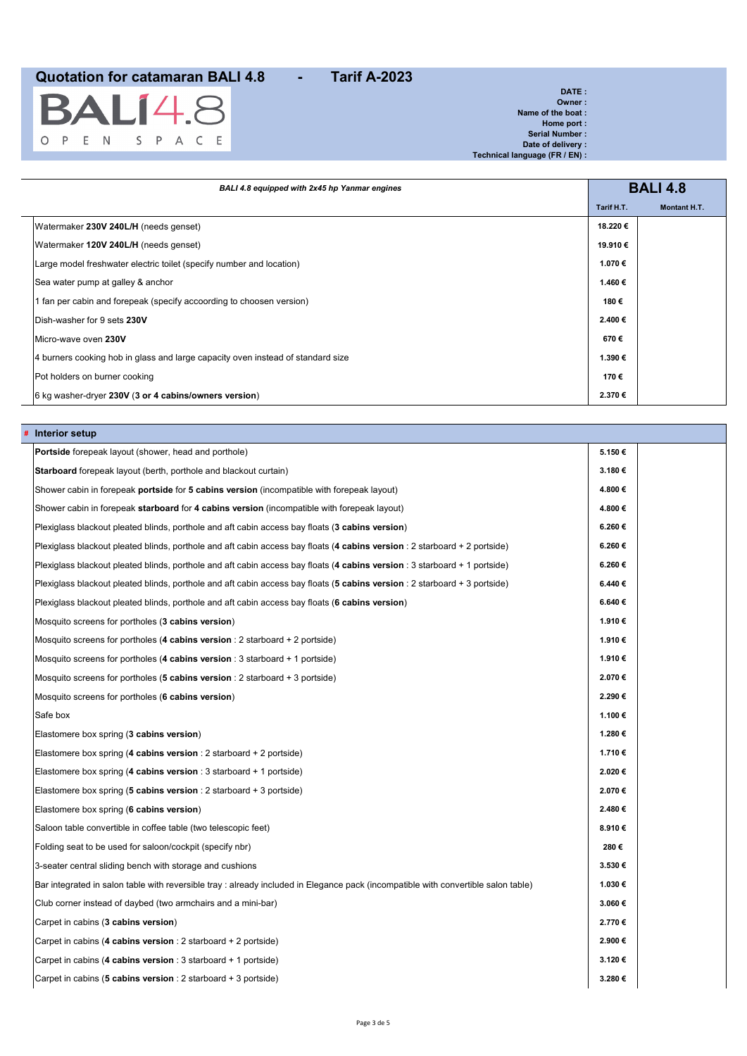

**DATE : Owner : Name of the boat : Home port : Serial Number : Date of delivery : Technical language (FR / EN) :**

| BALI 4.8 equipped with 2x45 hp Yanmar engines                                   |            | <b>BALI 4.8</b>     |
|---------------------------------------------------------------------------------|------------|---------------------|
|                                                                                 | Tarif H.T. | <b>Montant H.T.</b> |
| Watermaker 230V 240L/H (needs genset)                                           | 18.220 €   |                     |
| Watermaker 120V 240L/H (needs genset)                                           | 19.910 €   |                     |
| Large model freshwater electric toilet (specify number and location)            | 1.070 €    |                     |
| Sea water pump at galley & anchor                                               | 1.460 €    |                     |
| 1 fan per cabin and forepeak (specify accoording to choosen version)            | 180€       |                     |
| Dish-washer for 9 sets 230V                                                     | 2.400 €    |                     |
| Micro-wave oven 230V                                                            | 670€       |                     |
| 4 burners cooking hob in glass and large capacity oven instead of standard size | 1.390 €    |                     |
| Pot holders on burner cooking                                                   | 170€       |                     |
| 6 kg washer-dryer 230V (3 or 4 cabins/owners version)                           | 2.370€     |                     |

| Interior setup                                                                                                                     |        |  |
|------------------------------------------------------------------------------------------------------------------------------------|--------|--|
| Portside forepeak layout (shower, head and porthole)                                                                               | 5.150€ |  |
| <b>Starboard</b> forepeak layout (berth, porthole and blackout curtain)                                                            | 3.180€ |  |
| Shower cabin in forepeak <b>portside</b> for <b>5 cabins version</b> (incompatible with forepeak layout)                           | 4.800€ |  |
| Shower cabin in forepeak <b>starboard</b> for <b>4 cabins version</b> (incompatible with forepeak layout)                          | 4.800€ |  |
| Plexiglass blackout pleated blinds, porthole and aft cabin access bay floats (3 cabins version)                                    | 6.260€ |  |
| Plexiglass blackout pleated blinds, porthole and aft cabin access bay floats ( <b>4 cabins version</b> : 2 starboard + 2 portside) | 6.260€ |  |
| Plexiglass blackout pleated blinds, porthole and aft cabin access bay floats ( <b>4 cabins version</b> : 3 starboard + 1 portside) | 6.260€ |  |
| Plexiglass blackout pleated blinds, porthole and aft cabin access bay floats ( <b>5 cabins version</b> : 2 starboard + 3 portside) | 6.440€ |  |
| Plexiglass blackout pleated blinds, porthole and aft cabin access bay floats (6 cabins version)                                    | 6.640€ |  |
| Mosquito screens for portholes (3 cabins version)                                                                                  | 1.910€ |  |
| Mosquito screens for portholes (4 cabins version : 2 starboard + 2 portside)                                                       | 1.910€ |  |
| Mosquito screens for portholes (4 cabins version : 3 starboard + 1 portside)                                                       | 1.910€ |  |
| Mosquito screens for portholes (5 cabins version : 2 starboard $+$ 3 portside)                                                     | 2.070€ |  |
| Mosquito screens for portholes (6 cabins version)                                                                                  | 2.290€ |  |
| Safe box                                                                                                                           | 1.100€ |  |
| Elastomere box spring (3 cabins version)                                                                                           | 1.280€ |  |
| Elastomere box spring (4 cabins version : 2 starboard + 2 portside)                                                                | 1.710€ |  |
| Elastomere box spring (4 cabins version : 3 starboard + 1 portside)                                                                | 2.020€ |  |
| Elastomere box spring ( <b>5 cabins version</b> : 2 starboard + 3 portside)                                                        | 2.070€ |  |
| Elastomere box spring (6 cabins version)                                                                                           | 2.480€ |  |
| Saloon table convertible in coffee table (two telescopic feet)                                                                     | 8.910€ |  |
| Folding seat to be used for saloon/cockpit (specify nbr)                                                                           | 280€   |  |
| 3-seater central sliding bench with storage and cushions                                                                           | 3.530€ |  |
| Bar integrated in salon table with reversible tray : already included in Elegance pack (incompatible with convertible salon table) | 1.030€ |  |
| Club corner instead of daybed (two armchairs and a mini-bar)                                                                       | 3.060€ |  |
| Carpet in cabins (3 cabins version)                                                                                                | 2.770€ |  |
| Carpet in cabins (4 cabins version : 2 starboard + 2 portside)                                                                     | 2.900€ |  |
| Carpet in cabins (4 cabins version : 3 starboard + 1 portside)                                                                     | 3.120€ |  |
| Carpet in cabins (5 cabins version : 2 starboard $+$ 3 portside)                                                                   | 3.280€ |  |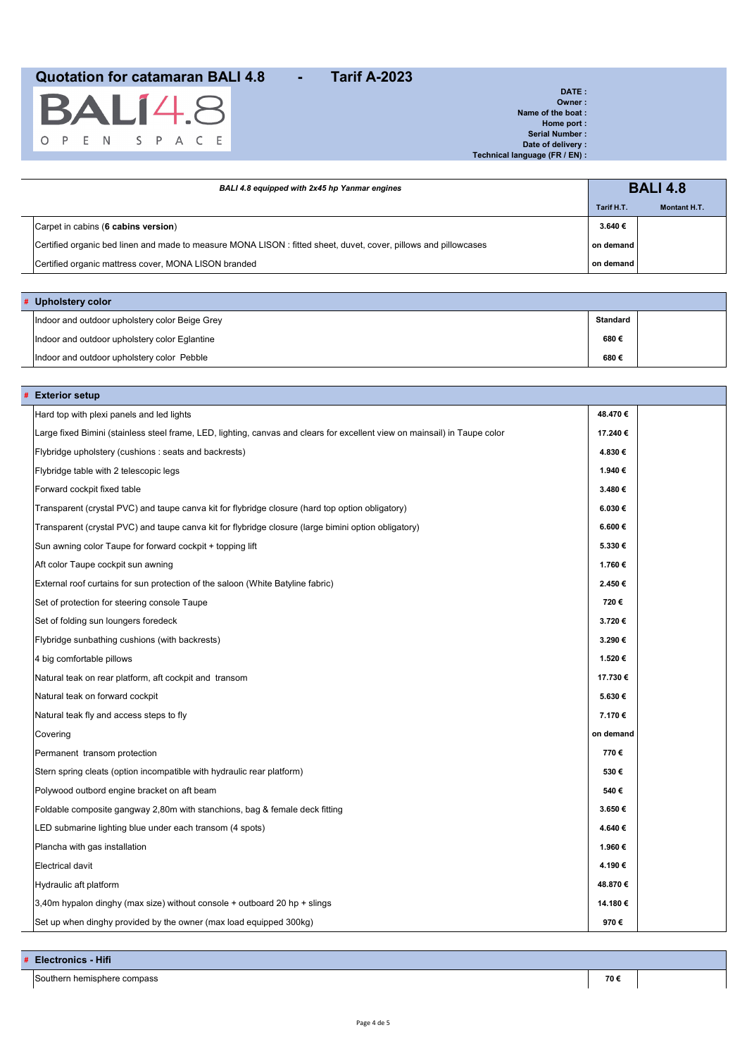

**DATE : Owner : Name of the boat : Home port : Serial Number : Date of delivery : Technical language (FR / EN) :**

| BALI 4.8 equipped with 2x45 hp Yanmar engines                                                                    |            | <b>BALI 4.8</b> |  |
|------------------------------------------------------------------------------------------------------------------|------------|-----------------|--|
|                                                                                                                  | Tarif H.T. | Montant H.T.    |  |
| Carpet in cabins (6 cabins version)                                                                              | 3.640€     |                 |  |
| Certified organic bed linen and made to measure MONA LISON : fitted sheet, duvet, cover, pillows and pillowcases | on demand  |                 |  |
| Certified organic mattress cover, MONA LISON branded                                                             | on demand  |                 |  |

| # Upholstery color |                                                |          |  |
|--------------------|------------------------------------------------|----------|--|
|                    | Indoor and outdoor upholstery color Beige Grey | Standard |  |
|                    | Indoor and outdoor upholstery color Eglantine  | 680€     |  |
|                    | Indoor and outdoor upholstery color Pebble     | 680€     |  |

| <b>Exterior setup</b>                                                                                                      |           |  |
|----------------------------------------------------------------------------------------------------------------------------|-----------|--|
| Hard top with plexi panels and led lights                                                                                  | 48.470€   |  |
| Large fixed Bimini (stainless steel frame, LED, lighting, canvas and clears for excellent view on mainsail) in Taupe color | 17.240€   |  |
| Flybridge upholstery (cushions : seats and backrests)                                                                      | 4.830€    |  |
| Flybridge table with 2 telescopic legs                                                                                     | 1.940€    |  |
| Forward cockpit fixed table                                                                                                | 3.480€    |  |
| Transparent (crystal PVC) and taupe canva kit for flybridge closure (hard top option obligatory)                           | 6.030€    |  |
| Transparent (crystal PVC) and taupe canva kit for flybridge closure (large bimini option obligatory)                       | 6.600€    |  |
| Sun awning color Taupe for forward cockpit + topping lift                                                                  | 5.330€    |  |
| Aft color Taupe cockpit sun awning                                                                                         | 1.760€    |  |
| External roof curtains for sun protection of the saloon (White Batyline fabric)                                            | 2.450€    |  |
| Set of protection for steering console Taupe                                                                               | 720€      |  |
| Set of folding sun loungers foredeck                                                                                       | 3.720€    |  |
| Flybridge sunbathing cushions (with backrests)                                                                             | 3.290€    |  |
| 4 big comfortable pillows                                                                                                  | 1.520€    |  |
| Natural teak on rear platform, aft cockpit and transom                                                                     | 17.730€   |  |
| Natural teak on forward cockpit                                                                                            | 5.630€    |  |
| Natural teak fly and access steps to fly                                                                                   | 7.170€    |  |
| Covering                                                                                                                   | on demand |  |
| Permanent transom protection                                                                                               | 770€      |  |
| Stern spring cleats (option incompatible with hydraulic rear platform)                                                     | 530€      |  |
| Polywood outbord engine bracket on aft beam                                                                                | 540€      |  |
| Foldable composite gangway 2,80m with stanchions, bag & female deck fitting                                                | 3.650€    |  |
| LED submarine lighting blue under each transom (4 spots)                                                                   | 4.640€    |  |
| Plancha with gas installation                                                                                              | 1.960€    |  |
| Electrical davit                                                                                                           | 4.190€    |  |
| Hydraulic aft platform                                                                                                     | 48.870€   |  |
| $3,40$ m hypalon dinghy (max size) without console + outboard 20 hp + slings                                               | 14.180€   |  |
| Set up when dinghy provided by the owner (max load equipped 300kg)                                                         | 970€      |  |

**# Electronics - Hifi**

Southern hemisphere compass **70 €**